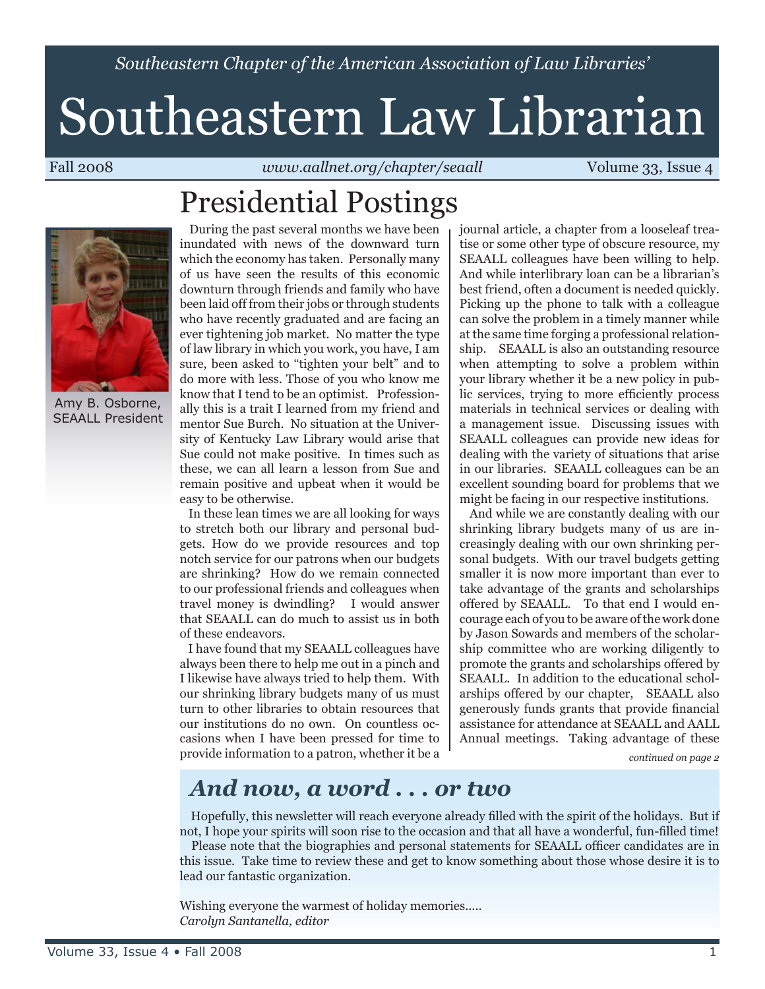*Southeastern Chapter of the American Association of Law Libraries'*

# Southeastern Law Librarian

Fall 2008 *www.aallnet.org/chapter/seaall* Volume 33, Issue 4

## Presidential Postings



Amy B. Osborne, SEAALL President

 During the past several months we have been inundated with news of the downward turn which the economy has taken. Personally many of us have seen the results of this economic downturn through friends and family who have been laid off from their jobs or through students who have recently graduated and are facing an ever tightening job market. No matter the type of law library in which you work, you have, I am sure, been asked to "tighten your belt" and to do more with less. Those of you who know me know that I tend to be an optimist. Professionally this is a trait I learned from my friend and mentor Sue Burch. No situation at the University of Kentucky Law Library would arise that Sue could not make positive. In times such as these, we can all learn a lesson from Sue and remain positive and upbeat when it would be easy to be otherwise.

 In these lean times we are all looking for ways to stretch both our library and personal budgets. How do we provide resources and top notch service for our patrons when our budgets are shrinking? How do we remain connected to our professional friends and colleagues when travel money is dwindling? I would answer that SEAALL can do much to assist us in both of these endeavors.

 I have found that my SEAALL colleagues have always been there to help me out in a pinch and I likewise have always tried to help them. With our shrinking library budgets many of us must turn to other libraries to obtain resources that our institutions do no own. On countless occasions when I have been pressed for time to provide information to a patron, whether it be a journal article, a chapter from a looseleaf treatise or some other type of obscure resource, my SEAALL colleagues have been willing to help. And while interlibrary loan can be a librarian's best friend, often a document is needed quickly. Picking up the phone to talk with a colleague can solve the problem in a timely manner while at the same time forging a professional relationship. SEAALL is also an outstanding resource when attempting to solve a problem within your library whether it be a new policy in public services, trying to more efficiently process materials in technical services or dealing with a management issue. Discussing issues with SEAALL colleagues can provide new ideas for dealing with the variety of situations that arise in our libraries. SEAALL colleagues can be an excellent sounding board for problems that we might be facing in our respective institutions.

 And while we are constantly dealing with our shrinking library budgets many of us are increasingly dealing with our own shrinking personal budgets. With our travel budgets getting smaller it is now more important than ever to take advantage of the grants and scholarships offered by SEAALL. To that end I would encourage each of you to be aware of the work done by Jason Sowards and members of the scholarship committee who are working diligently to promote the grants and scholarships offered by SEAALL. In addition to the educational scholarships offered by our chapter, SEAALL also generously funds grants that provide financial assistance for attendance at SEAALL and AALL Annual meetings. Taking advantage of these

*continued on page 2*

### *And now, a word . . . or two*

 Hopefully, this newsletter will reach everyone already filled with the spirit of the holidays. But if not, I hope your spirits will soon rise to the occasion and that all have a wonderful, fun-filled time! Please note that the biographies and personal statements for SEAALL officer candidates are in

this issue. Take time to review these and get to know something about those whose desire it is to lead our fantastic organization.

Wishing everyone the warmest of holiday memories..... *Carolyn Santanella, editor*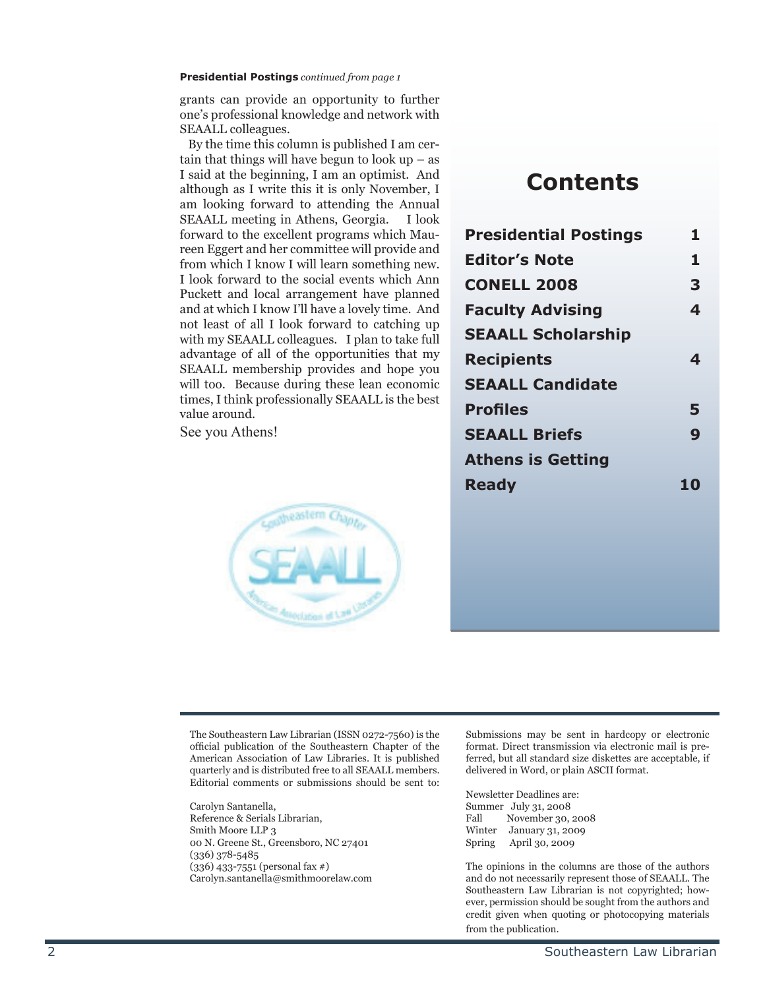#### **Presidential Postings** *continued from page 1*

grants can provide an opportunity to further one's professional knowledge and network with SEAALL colleagues.

 By the time this column is published I am certain that things will have begun to look  $up - as$ I said at the beginning, I am an optimist. And although as I write this it is only November, I am looking forward to attending the Annual SEAALL meeting in Athens, Georgia. I look forward to the excellent programs which Maureen Eggert and her committee will provide and from which I know I will learn something new. I look forward to the social events which Ann Puckett and local arrangement have planned and at which I know I'll have a lovely time. And not least of all I look forward to catching up with my SEAALL colleagues. I plan to take full advantage of all of the opportunities that my SEAALL membership provides and hope you will too. Because during these lean economic times, I think professionally SEAALL is the best value around.

See you Athens!



### **Contents**

| <b>Presidential Postings</b> | 1  |
|------------------------------|----|
| <b>Editor's Note</b>         | 1  |
| <b>CONELL 2008</b>           | 3  |
| <b>Faculty Advising</b>      | 4  |
| <b>SEAALL Scholarship</b>    |    |
| <b>Recipients</b>            | 4  |
| <b>SEAALL Candidate</b>      |    |
| <b>Profiles</b>              | 5  |
| <b>SEAALL Briefs</b>         | 9  |
| <b>Athens is Getting</b>     |    |
| <b>Ready</b>                 | 10 |
|                              |    |

The Southeastern Law Librarian (ISSN 0272-7560) is the official publication of the Southeastern Chapter of the American Association of Law Libraries. It is published quarterly and is distributed free to all SEAALL members. Editorial comments or submissions should be sent to:

Carolyn Santanella, Reference & Serials Librarian, Smith Moore LLP 3 00 N. Greene St., Greensboro, NC 27401 (336) 378-5485 (336) 433-7551 (personal fax #) Carolyn.santanella@smithmoorelaw.com

Submissions may be sent in hardcopy or electronic format. Direct transmission via electronic mail is preferred, but all standard size diskettes are acceptable, if delivered in Word, or plain ASCII format.

Newsletter Deadlines are: Summer July 31, 2008<br>Fall November 30, Fall November 30, 2008<br>Winter January 31, 2009 January 31, 2009 Spring April 30, 2009

The opinions in the columns are those of the authors and do not necessarily represent those of SEAALL. The Southeastern Law Librarian is not copyrighted; however, permission should be sought from the authors and credit given when quoting or photocopying materials from the publication.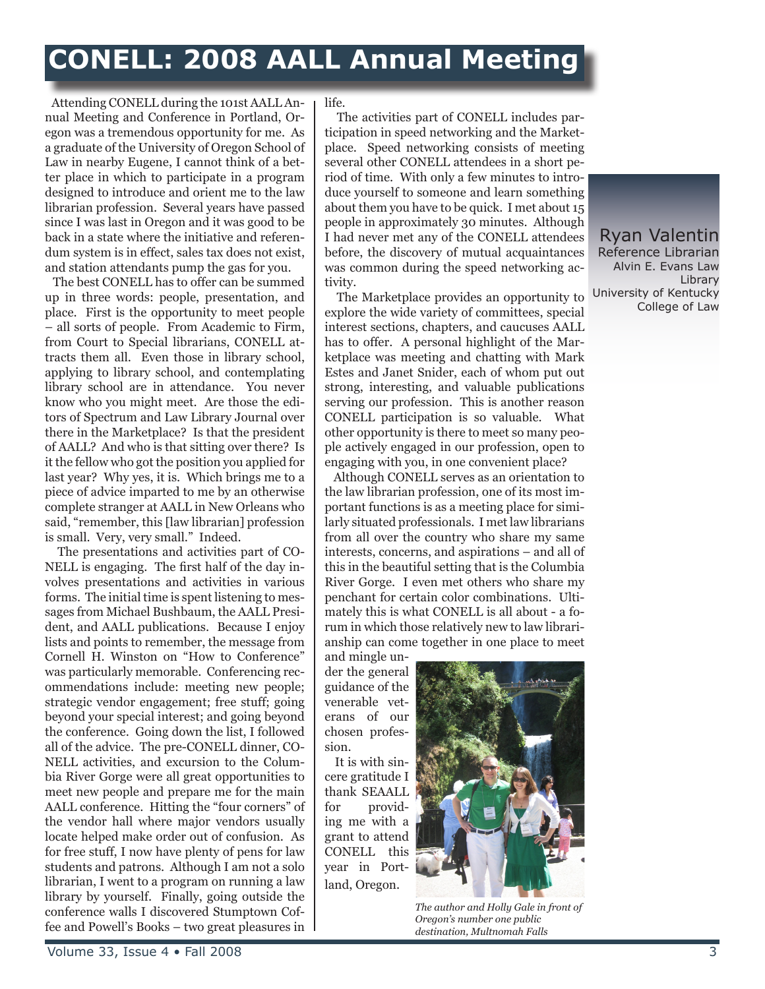### **CONELL: 2008 AALL Annual Meeting**

 Attending CONELL during the 101st AALL Annual Meeting and Conference in Portland, Oregon was a tremendous opportunity for me. As a graduate of the University of Oregon School of Law in nearby Eugene, I cannot think of a better place in which to participate in a program designed to introduce and orient me to the law librarian profession. Several years have passed since I was last in Oregon and it was good to be back in a state where the initiative and referendum system is in effect, sales tax does not exist, and station attendants pump the gas for you.

 The best CONELL has to offer can be summed up in three words: people, presentation, and place. First is the opportunity to meet people – all sorts of people. From Academic to Firm, from Court to Special librarians, CONELL attracts them all. Even those in library school, applying to library school, and contemplating library school are in attendance. You never know who you might meet. Are those the editors of Spectrum and Law Library Journal over there in the Marketplace? Is that the president of AALL? And who is that sitting over there? Is it the fellow who got the position you applied for last year? Why yes, it is. Which brings me to a piece of advice imparted to me by an otherwise complete stranger at AALL in New Orleans who said, "remember, this [law librarian] profession is small. Very, very small." Indeed.

 The presentations and activities part of CO-NELL is engaging. The first half of the day involves presentations and activities in various forms. The initial time is spent listening to messages from Michael Bushbaum, the AALL President, and AALL publications. Because I enjoy lists and points to remember, the message from Cornell H. Winston on "How to Conference" was particularly memorable. Conferencing recommendations include: meeting new people; strategic vendor engagement; free stuff; going beyond your special interest; and going beyond the conference. Going down the list, I followed all of the advice. The pre-CONELL dinner, CO-NELL activities, and excursion to the Columbia River Gorge were all great opportunities to meet new people and prepare me for the main AALL conference. Hitting the "four corners" of the vendor hall where major vendors usually locate helped make order out of confusion. As for free stuff, I now have plenty of pens for law students and patrons. Although I am not a solo librarian, I went to a program on running a law library by yourself. Finally, going outside the conference walls I discovered Stumptown Coffee and Powell's Books – two great pleasures in life.

 The activities part of CONELL includes participation in speed networking and the Marketplace. Speed networking consists of meeting several other CONELL attendees in a short period of time. With only a few minutes to introduce yourself to someone and learn something about them you have to be quick. I met about 15 people in approximately 30 minutes. Although I had never met any of the CONELL attendees before, the discovery of mutual acquaintances was common during the speed networking activity.

 The Marketplace provides an opportunity to explore the wide variety of committees, special interest sections, chapters, and caucuses AALL has to offer. A personal highlight of the Marketplace was meeting and chatting with Mark Estes and Janet Snider, each of whom put out strong, interesting, and valuable publications serving our profession. This is another reason CONELL participation is so valuable. What other opportunity is there to meet so many people actively engaged in our profession, open to engaging with you, in one convenient place?

 Although CONELL serves as an orientation to the law librarian profession, one of its most important functions is as a meeting place for similarly situated professionals. I met law librarians from all over the country who share my same interests, concerns, and aspirations – and all of this in the beautiful setting that is the Columbia River Gorge. I even met others who share my penchant for certain color combinations. Ultimately this is what CONELL is all about - a forum in which those relatively new to law librarianship can come together in one place to meet

and mingle under the general guidance of the venerable veterans of our chosen profession.

 It is with sincere gratitude I thank SEAALL for providing me with a grant to attend CONELL this year in Portland, Oregon.



*The author and Holly Gale in front of Oregon's number one public destination, Multnomah Falls*

Ryan Valentin Reference Librarian Alvin E. Evans Law Library University of Kentucky College of Law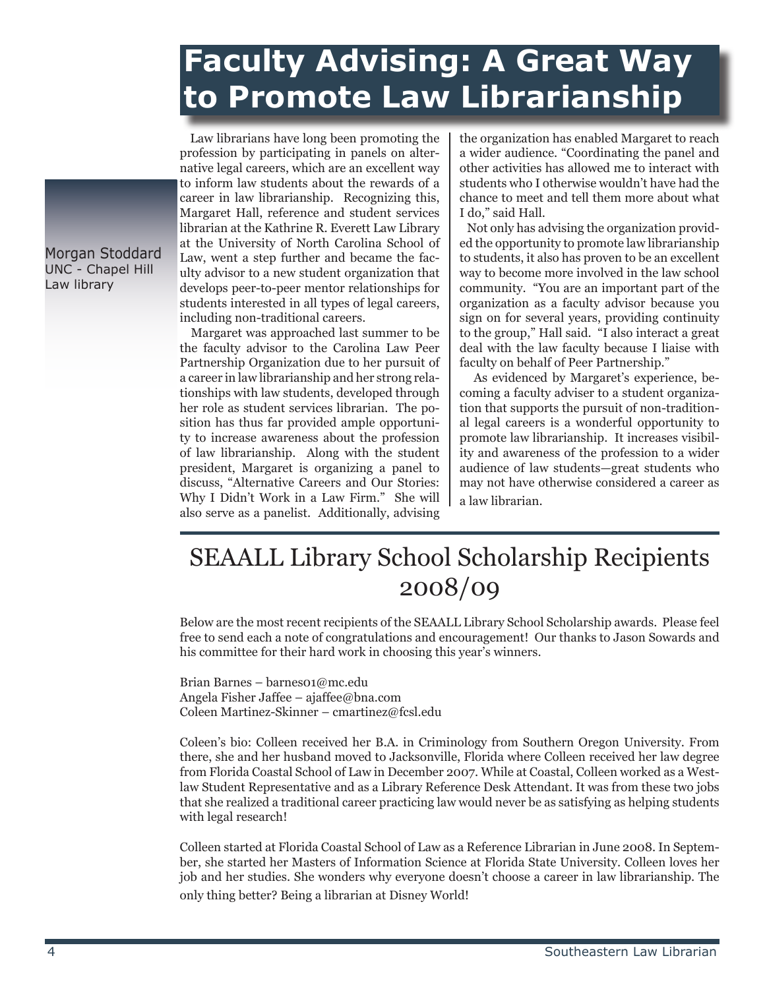### **Faculty Advising: A Great Way to Promote Law Librarianship**

 Law librarians have long been promoting the profession by participating in panels on alternative legal careers, which are an excellent way to inform law students about the rewards of a career in law librarianship. Recognizing this, Margaret Hall, reference and student services librarian at the Kathrine R. Everett Law Library at the University of North Carolina School of Law, went a step further and became the faculty advisor to a new student organization that develops peer-to-peer mentor relationships for students interested in all types of legal careers, including non-traditional careers.

 Margaret was approached last summer to be the faculty advisor to the Carolina Law Peer Partnership Organization due to her pursuit of a career in law librarianship and her strong relationships with law students, developed through her role as student services librarian. The position has thus far provided ample opportunity to increase awareness about the profession of law librarianship. Along with the student president, Margaret is organizing a panel to discuss, "Alternative Careers and Our Stories: Why I Didn't Work in a Law Firm." She will also serve as a panelist. Additionally, advising the organization has enabled Margaret to reach a wider audience. "Coordinating the panel and other activities has allowed me to interact with students who I otherwise wouldn't have had the chance to meet and tell them more about what I do," said Hall.

 Not only has advising the organization provided the opportunity to promote law librarianship to students, it also has proven to be an excellent way to become more involved in the law school community. "You are an important part of the organization as a faculty advisor because you sign on for several years, providing continuity to the group," Hall said. "I also interact a great deal with the law faculty because I liaise with faculty on behalf of Peer Partnership."

 As evidenced by Margaret's experience, becoming a faculty adviser to a student organization that supports the pursuit of non-traditional legal careers is a wonderful opportunity to promote law librarianship. It increases visibility and awareness of the profession to a wider audience of law students—great students who may not have otherwise considered a career as a law librarian.

### SEAALL Library School Scholarship Recipients 2008/09

Below are the most recent recipients of the SEAALL Library School Scholarship awards. Please feel free to send each a note of congratulations and encouragement! Our thanks to Jason Sowards and his committee for their hard work in choosing this year's winners.

Brian Barnes – barnes01@mc.edu Angela Fisher Jaffee – ajaffee@bna.com Coleen Martinez-Skinner – cmartinez@fcsl.edu

Coleen's bio: Colleen received her B.A. in Criminology from Southern Oregon University. From there, she and her husband moved to Jacksonville, Florida where Colleen received her law degree from Florida Coastal School of Law in December 2007. While at Coastal, Colleen worked as a Westlaw Student Representative and as a Library Reference Desk Attendant. It was from these two jobs that she realized a traditional career practicing law would never be as satisfying as helping students with legal research!

Colleen started at Florida Coastal School of Law as a Reference Librarian in June 2008. In September, she started her Masters of Information Science at Florida State University. Colleen loves her job and her studies. She wonders why everyone doesn't choose a career in law librarianship. The only thing better? Being a librarian at Disney World!

Morgan Stoddard UNC - Chapel Hill Law library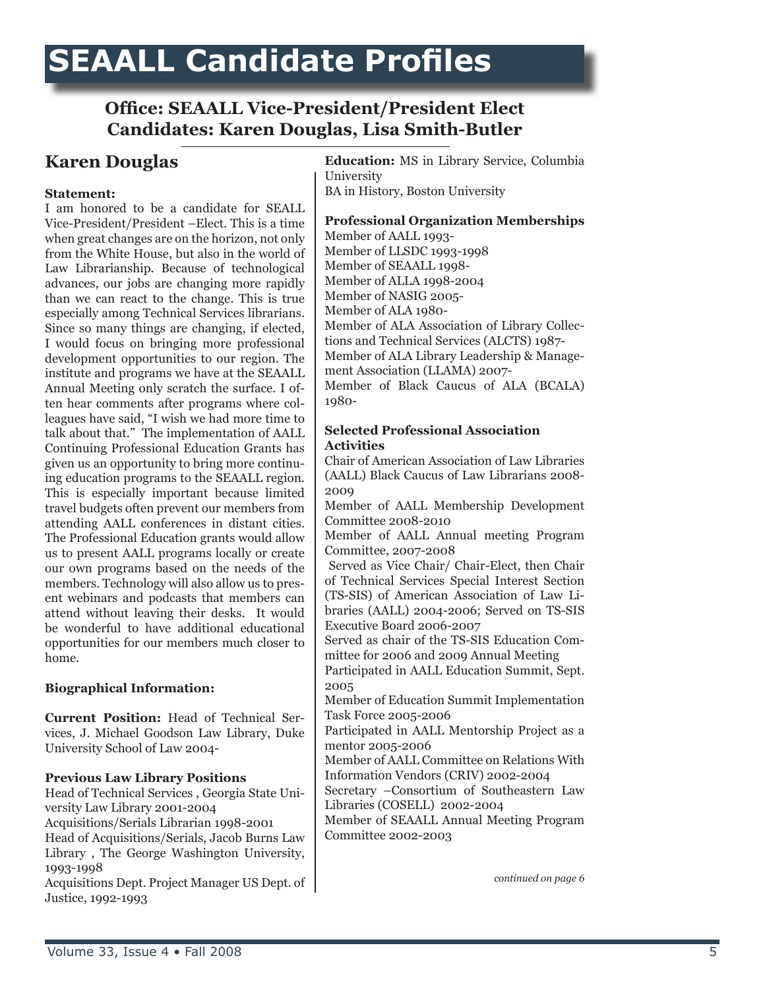### **SEAALL Candidate Profiles**

#### **Office: SEAALL Vice-President/President Elect Candidates: Karen Douglas, Lisa Smith-Butler**

#### **Statement:**

I am honored to be a candidate for SEALL Vice-President/President –Elect. This is a time when great changes are on the horizon, not only from the White House, but also in the world of Law Librarianship. Because of technological advances, our jobs are changing more rapidly than we can react to the change. This is true especially among Technical Services librarians. Since so many things are changing, if elected, I would focus on bringing more professional development opportunities to our region. The institute and programs we have at the SEAALL Annual Meeting only scratch the surface. I often hear comments after programs where colleagues have said, "I wish we had more time to talk about that." The implementation of AALL Continuing Professional Education Grants has given us an opportunity to bring more continuing education programs to the SEAALL region. This is especially important because limited travel budgets often prevent our members from attending AALL conferences in distant cities. The Professional Education grants would allow us to present AALL programs locally or create our own programs based on the needs of the members. Technology will also allow us to present webinars and podcasts that members can attend without leaving their desks. It would be wonderful to have additional educational opportunities for our members much closer to home.

#### **Biographical Information:**

**Current Position:** Head of Technical Services, J. Michael Goodson Law Library, Duke University School of Law 2004-

#### **Previous Law Library Positions**

Head of Technical Services , Georgia State University Law Library 2001-2004 Acquisitions/Serials Librarian 1998-2001 Head of Acquisitions/Serials, Jacob Burns Law Library , The George Washington University, 1993-1998 Acquisitions Dept. Project Manager US Dept. of Justice, 1992-1993

**Karen Douglas Education:** MS in Library Service, Columbia University BA in History, Boston University

#### **Professional Organization Memberships**

Member of AALL 1993- Member of LLSDC 1993-1998 Member of SEAALL 1998- Member of ALLA 1998-2004 Member of NASIG 2005- Member of ALA 1980- Member of ALA Association of Library Collections and Technical Services (ALCTS) 1987- Member of ALA Library Leadership & Management Association (LLAMA) 2007- Member of Black Caucus of ALA (BCALA) 1980-

#### **Selected Professional Association Activities**

Chair of American Association of Law Libraries (AALL) Black Caucus of Law Librarians 2008- 2009

Member of AALL Membership Development Committee 2008-2010

Member of AALL Annual meeting Program Committee, 2007-2008

 Served as Vice Chair/ Chair-Elect, then Chair of Technical Services Special Interest Section (TS-SIS) of American Association of Law Libraries (AALL) 2004-2006; Served on TS-SIS Executive Board 2006-2007

Served as chair of the TS-SIS Education Committee for 2006 and 2009 Annual Meeting

Participated in AALL Education Summit, Sept. 2005

Member of Education Summit Implementation Task Force 2005-2006

Participated in AALL Mentorship Project as a mentor 2005-2006

Member of AALL Committee on Relations With Information Vendors (CRIV) 2002-2004

Secretary –Consortium of Southeastern Law Libraries (COSELL) 2002-2004

Member of SEAALL Annual Meeting Program Committee 2002-2003

*continued on page 6*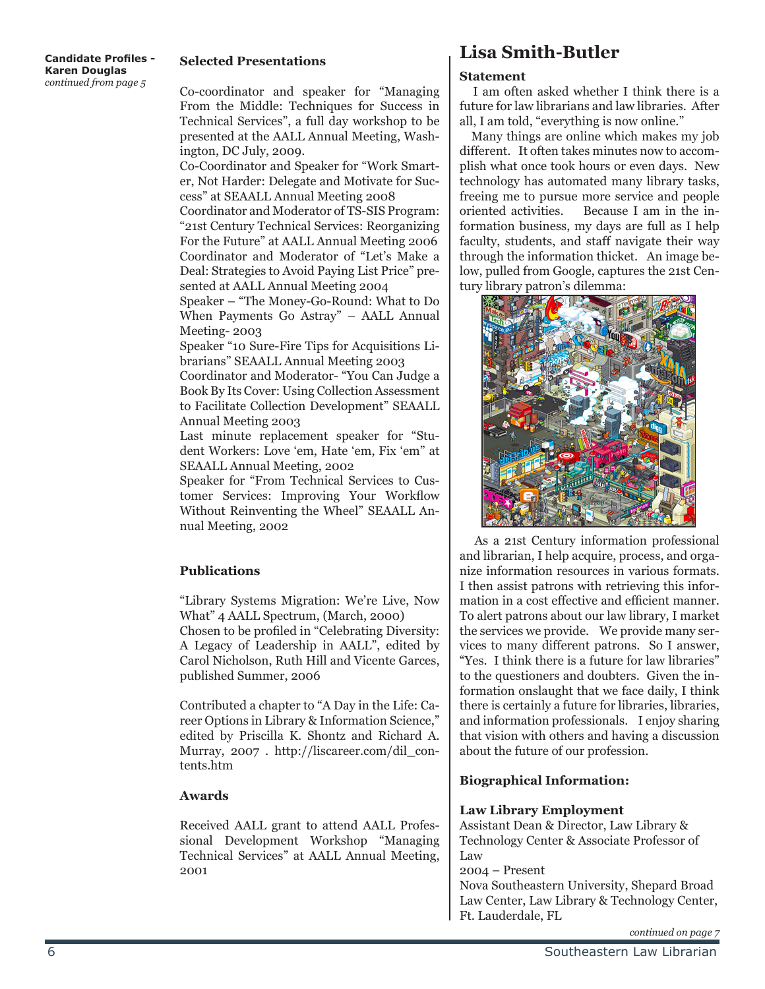#### **Candidate Profiles - Karen Douglas** *continued from page 5*

#### **Selected Presentations**

Co-coordinator and speaker for "Managing From the Middle: Techniques for Success in Technical Services", a full day workshop to be presented at the AALL Annual Meeting, Washington, DC July, 2009.

Co-Coordinator and Speaker for "Work Smarter, Not Harder: Delegate and Motivate for Success" at SEAALL Annual Meeting 2008

Coordinator and Moderator of TS-SIS Program: "21st Century Technical Services: Reorganizing For the Future" at AALL Annual Meeting 2006 Coordinator and Moderator of "Let's Make a Deal: Strategies to Avoid Paying List Price" presented at AALL Annual Meeting 2004

Speaker – "The Money-Go-Round: What to Do When Payments Go Astray" – AALL Annual Meeting- 2003

Speaker "10 Sure-Fire Tips for Acquisitions Librarians" SEAALL Annual Meeting 2003 Coordinator and Moderator- "You Can Judge a Book By Its Cover: Using Collection Assessment to Facilitate Collection Development" SEAALL Annual Meeting 2003

Last minute replacement speaker for "Student Workers: Love 'em, Hate 'em, Fix 'em" at SEAALL Annual Meeting, 2002

Speaker for "From Technical Services to Customer Services: Improving Your Workflow Without Reinventing the Wheel" SEAALL Annual Meeting, 2002

#### **Publications**

"Library Systems Migration: We're Live, Now What" 4 AALL Spectrum, (March, 2000)

Chosen to be profiled in "Celebrating Diversity: A Legacy of Leadership in AALL", edited by Carol Nicholson, Ruth Hill and Vicente Garces, published Summer, 2006

Contributed a chapter to "A Day in the Life: Career Options in Library & Information Science," edited by Priscilla K. Shontz and Richard A. Murray, 2007 . http://liscareer.com/dil\_contents.htm

#### **Awards**

Received AALL grant to attend AALL Professional Development Workshop "Managing Technical Services" at AALL Annual Meeting, 2001

#### **Lisa Smith-Butler**

#### **Statement**

 I am often asked whether I think there is a future for law librarians and law libraries. After all, I am told, "everything is now online."

 Many things are online which makes my job different. It often takes minutes now to accomplish what once took hours or even days. New technology has automated many library tasks, freeing me to pursue more service and people oriented activities. Because I am in the information business, my days are full as I help faculty, students, and staff navigate their way through the information thicket. An image below, pulled from Google, captures the 21st Century library patron's dilemma:



 As a 21st Century information professional and librarian, I help acquire, process, and organize information resources in various formats. I then assist patrons with retrieving this information in a cost effective and efficient manner. To alert patrons about our law library, I market the services we provide. We provide many services to many different patrons. So I answer, "Yes. I think there is a future for law libraries" to the questioners and doubters. Given the information onslaught that we face daily, I think there is certainly a future for libraries, libraries, and information professionals. I enjoy sharing that vision with others and having a discussion about the future of our profession.

#### **Biographical Information:**

#### **Law Library Employment**

Assistant Dean & Director, Law Library & Technology Center & Associate Professor of Law

2004 – Present

Nova Southeastern University, Shepard Broad Law Center, Law Library & Technology Center, Ft. Lauderdale, FL

*continued on page 7*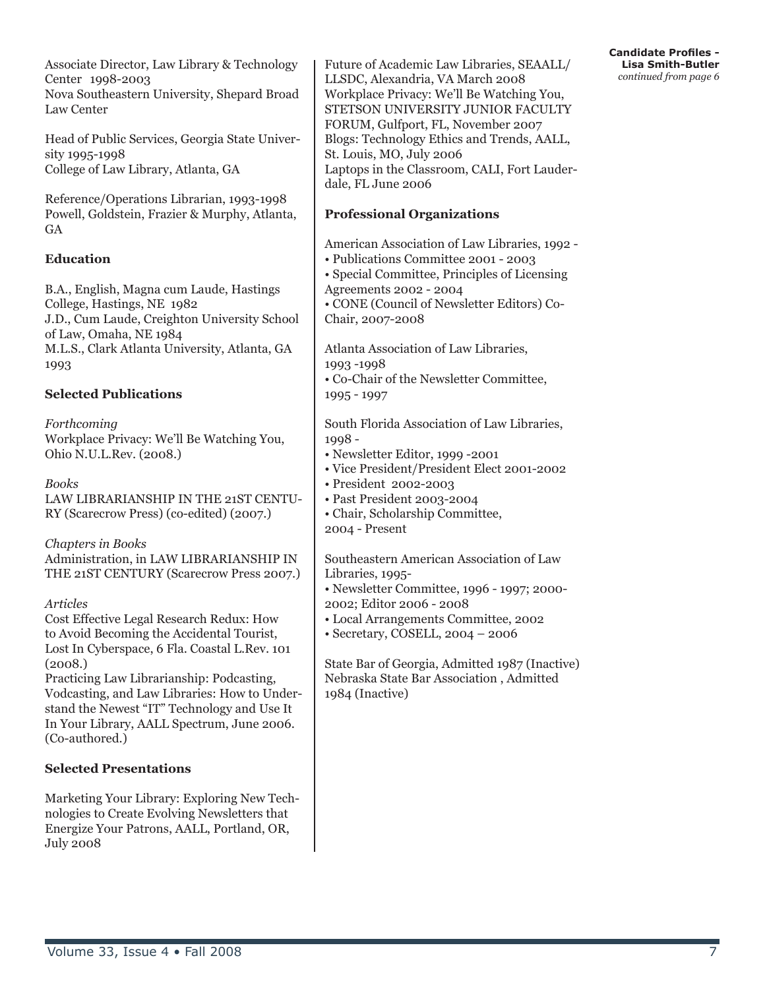Associate Director, Law Library & Technology Center 1998-2003 Nova Southeastern University, Shepard Broad Law Center

Head of Public Services, Georgia State University 1995-1998 College of Law Library, Atlanta, GA

Reference/Operations Librarian, 1993-1998 Powell, Goldstein, Frazier & Murphy, Atlanta, **GA** 

#### **Education**

B.A., English, Magna cum Laude, Hastings College, Hastings, NE 1982 J.D., Cum Laude, Creighton University School of Law, Omaha, NE 1984 M.L.S., Clark Atlanta University, Atlanta, GA 1993

#### **Selected Publications**

*Forthcoming* Workplace Privacy: We'll Be Watching You, Ohio N.U.L.Rev. (2008.)

*Books* LAW LIBRARIANSHIP IN THE 21ST CENTU-RY (Scarecrow Press) (co-edited) (2007.)

*Chapters in Books* Administration, in LAW LIBRARIANSHIP IN THE 21ST CENTURY (Scarecrow Press 2007.)

*Articles*

Cost Effective Legal Research Redux: How to Avoid Becoming the Accidental Tourist, Lost In Cyberspace, 6 Fla. Coastal L.Rev. 101 (2008.)

Practicing Law Librarianship: Podcasting, Vodcasting, and Law Libraries: How to Understand the Newest "IT" Technology and Use It In Your Library, AALL Spectrum, June 2006. (Co-authored.)

#### **Selected Presentations**

Marketing Your Library: Exploring New Technologies to Create Evolving Newsletters that Energize Your Patrons, AALL, Portland, OR, July 2008

Future of Academic Law Libraries, SEAALL/ LLSDC, Alexandria, VA March 2008 Workplace Privacy: We'll Be Watching You, STETSON UNIVERSITY JUNIOR FACULTY FORUM, Gulfport, FL, November 2007 Blogs: Technology Ethics and Trends, AALL, St. Louis, MO, July 2006 Laptops in the Classroom, CALI, Fort Lauderdale, FL June 2006

#### **Professional Organizations**

American Association of Law Libraries, 1992 -

• Publications Committee 2001 - 2003

• Special Committee, Principles of Licensing Agreements 2002 - 2004

• CONE (Council of Newsletter Editors) Co-Chair, 2007-2008

Atlanta Association of Law Libraries, 1993 -1998

• Co-Chair of the Newsletter Committee, 1995 - 1997

South Florida Association of Law Libraries, 1998 -

- Newsletter Editor, 1999 -2001
- Vice President/President Elect 2001-2002
- President 2002-2003
- Past President 2003-2004
- Chair, Scholarship Committee, 2004 - Present

Southeastern American Association of Law Libraries, 1995-

- Newsletter Committee, 1996 1997; 2000- 2002; Editor 2006 - 2008
- Local Arrangements Committee, 2002
- Secretary, COSELL, 2004 2006

State Bar of Georgia, Admitted 1987 (Inactive) Nebraska State Bar Association , Admitted 1984 (Inactive)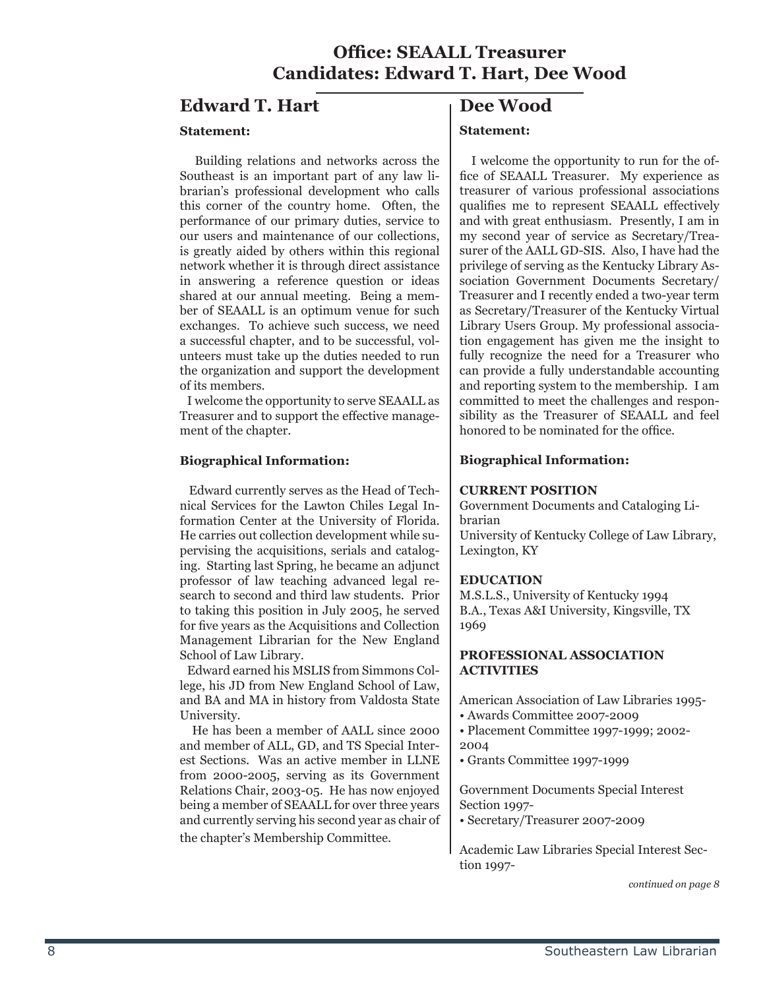#### **Office: SEAALL Treasurer Candidates: Edward T. Hart, Dee Wood**

#### **Edward T. Hart**

#### **Statement:**

 Building relations and networks across the Southeast is an important part of any law librarian's professional development who calls this corner of the country home. Often, the performance of our primary duties, service to our users and maintenance of our collections, is greatly aided by others within this regional network whether it is through direct assistance in answering a reference question or ideas shared at our annual meeting. Being a member of SEAALL is an optimum venue for such exchanges. To achieve such success, we need a successful chapter, and to be successful, volunteers must take up the duties needed to run the organization and support the development of its members.

 I welcome the opportunity to serve SEAALL as Treasurer and to support the effective management of the chapter.

#### **Biographical Information:**

 Edward currently serves as the Head of Technical Services for the Lawton Chiles Legal Information Center at the University of Florida. He carries out collection development while supervising the acquisitions, serials and cataloging. Starting last Spring, he became an adjunct professor of law teaching advanced legal research to second and third law students. Prior to taking this position in July 2005, he served for five years as the Acquisitions and Collection Management Librarian for the New England School of Law Library.

 Edward earned his MSLIS from Simmons College, his JD from New England School of Law, and BA and MA in history from Valdosta State University.

 He has been a member of AALL since 2000 and member of ALL, GD, and TS Special Interest Sections. Was an active member in LLNE from 2000-2005, serving as its Government Relations Chair, 2003-05. He has now enjoyed being a member of SEAALL for over three years and currently serving his second year as chair of the chapter's Membership Committee.

#### **Dee Wood**

#### **Statement:**

 I welcome the opportunity to run for the office of SEAALL Treasurer. My experience as treasurer of various professional associations qualifies me to represent SEAALL effectively and with great enthusiasm. Presently, I am in my second year of service as Secretary/Treasurer of the AALL GD-SIS. Also, I have had the privilege of serving as the Kentucky Library Association Government Documents Secretary/ Treasurer and I recently ended a two-year term as Secretary/Treasurer of the Kentucky Virtual Library Users Group. My professional association engagement has given me the insight to fully recognize the need for a Treasurer who can provide a fully understandable accounting and reporting system to the membership. I am committed to meet the challenges and responsibility as the Treasurer of SEAALL and feel honored to be nominated for the office.

#### **Biographical Information:**

#### **CURRENT POSITION**

Government Documents and Cataloging Librarian

University of Kentucky College of Law Library, Lexington, KY

#### **EDUCATION**

M.S.L.S., University of Kentucky 1994 B.A., Texas A&I University, Kingsville, TX 1969

#### **PROFESSIONAL ASSOCIATION ACTIVITIES**

American Association of Law Libraries 1995-

• Awards Committee 2007-2009

• Placement Committee 1997-1999; 2002- 2004

• Grants Committee 1997-1999

Government Documents Special Interest Section 1997-

• Secretary/Treasurer 2007-2009

Academic Law Libraries Special Interest Section 1997-

*continued on page 8*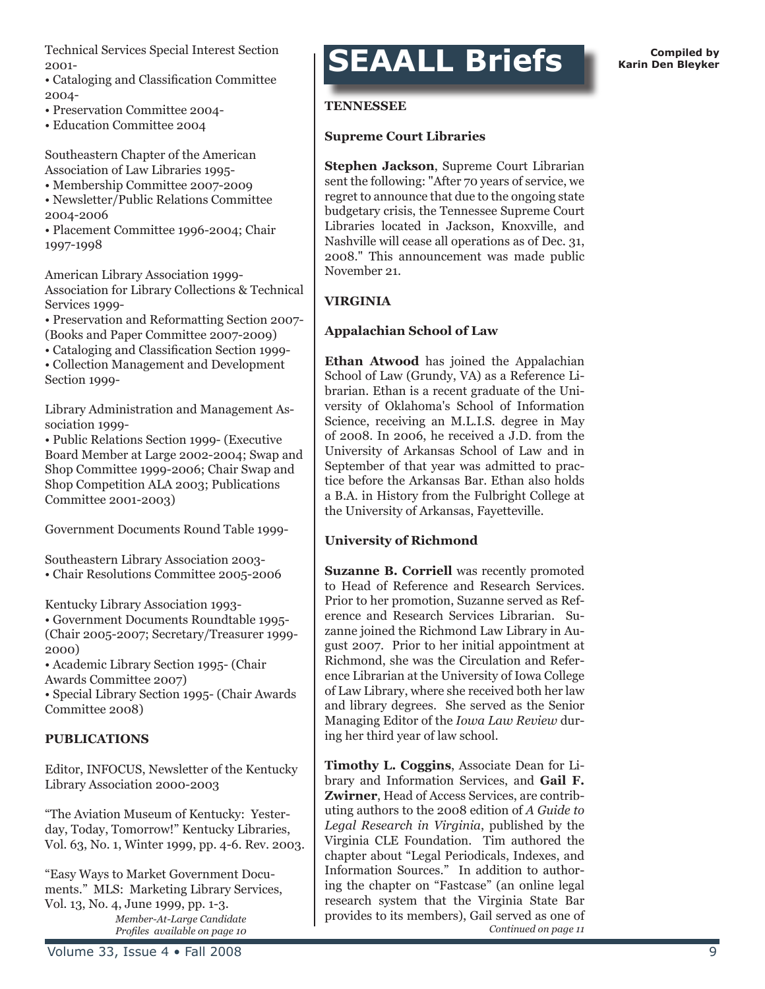Technical Services Special Interest Section 2001-

• Cataloging and Classification Committee 2004-

- Preservation Committee 2004-
- Education Committee 2004

Southeastern Chapter of the American Association of Law Libraries 1995-

- Membership Committee 2007-2009
- Newsletter/Public Relations Committee 2004-2006
- Placement Committee 1996-2004; Chair 1997-1998

American Library Association 1999- Association for Library Collections & Technical Services 1999-

• Preservation and Reformatting Section 2007- (Books and Paper Committee 2007-2009)

• Cataloging and Classification Section 1999-

• Collection Management and Development Section 1999-

Library Administration and Management Association 1999-

• Public Relations Section 1999- (Executive Board Member at Large 2002-2004; Swap and Shop Committee 1999-2006; Chair Swap and Shop Competition ALA 2003; Publications Committee 2001-2003)

Government Documents Round Table 1999-

Southeastern Library Association 2003- • Chair Resolutions Committee 2005-2006

Kentucky Library Association 1993- • Government Documents Roundtable 1995- (Chair 2005-2007; Secretary/Treasurer 1999- 2000)

• Academic Library Section 1995- (Chair Awards Committee 2007)

• Special Library Section 1995- (Chair Awards Committee 2008)

#### **PUBLICATIONS**

Editor, INFOCUS, Newsletter of the Kentucky Library Association 2000-2003

"The Aviation Museum of Kentucky: Yesterday, Today, Tomorrow!" Kentucky Libraries, Vol. 63, No. 1, Winter 1999, pp. 4-6. Rev. 2003.

"Easy Ways to Market Government Documents." MLS: Marketing Library Services, Vol. 13, No. 4, June 1999, pp. 1-3. *Member-At-Large Candidate Profiles available on page 10*

### **SEAALL Briefs Compiled by** Compiled by

#### **TENNESSEE**

#### **Supreme Court Libraries**

**Stephen Jackson**, Supreme Court Librarian sent the following: "After 70 years of service, we regret to announce that due to the ongoing state budgetary crisis, the Tennessee Supreme Court Libraries located in Jackson, Knoxville, and Nashville will cease all operations as of Dec. 31, 2008." This announcement was made public November 21.

#### **VIRGINIA**

#### **Appalachian School of Law**

**Ethan Atwood** has joined the Appalachian School of Law (Grundy, VA) as a Reference Librarian. Ethan is a recent graduate of the University of Oklahoma's School of Information Science, receiving an M.L.I.S. degree in May of 2008. In 2006, he received a J.D. from the University of Arkansas School of Law and in September of that year was admitted to practice before the Arkansas Bar. Ethan also holds a B.A. in History from the Fulbright College at the University of Arkansas, Fayetteville.

#### **University of Richmond**

**Suzanne B. Corriell** was recently promoted to Head of Reference and Research Services. Prior to her promotion, Suzanne served as Reference and Research Services Librarian. Suzanne joined the Richmond Law Library in August 2007. Prior to her initial appointment at Richmond, she was the Circulation and Reference Librarian at the University of Iowa College of Law Library, where she received both her law and library degrees. She served as the Senior Managing Editor of the *Iowa Law Review* during her third year of law school.

**Timothy L. Coggins**, Associate Dean for Library and Information Services, and **Gail F. Zwirner**, Head of Access Services, are contributing authors to the 2008 edition of *A Guide to Legal Research in Virginia*, published by the Virginia CLE Foundation. Tim authored the chapter about "Legal Periodicals, Indexes, and Information Sources." In addition to authoring the chapter on "Fastcase" (an online legal research system that the Virginia State Bar provides to its members), Gail served as one of *Continued on page 11*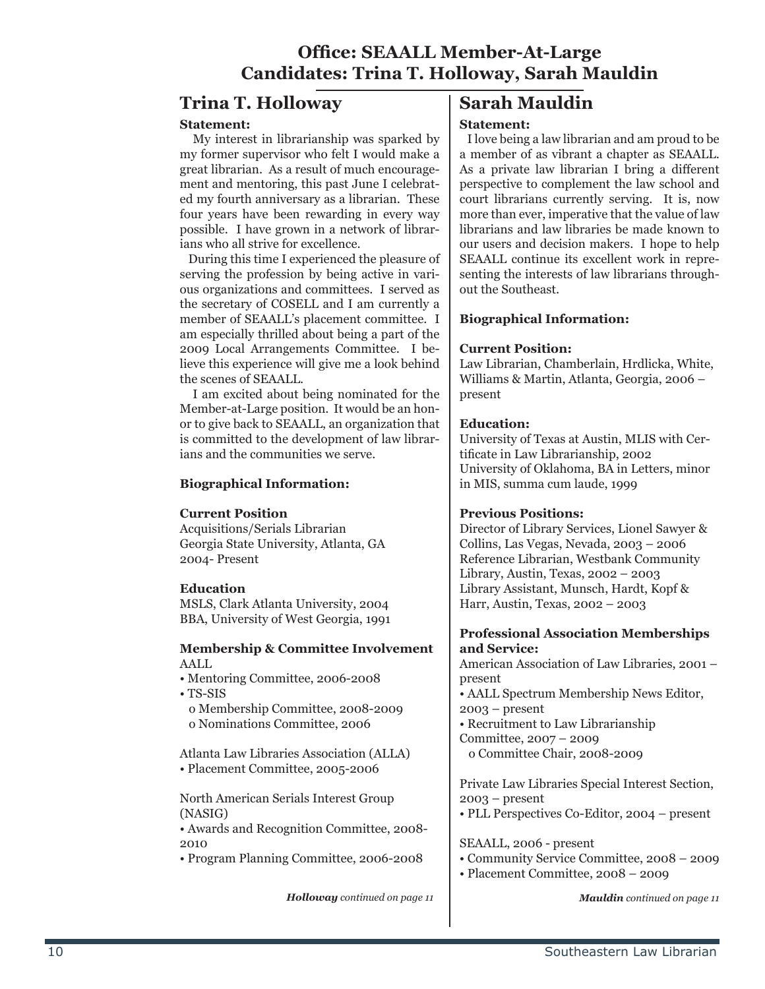#### **Office: SEAALL Member-At-Large Candidates: Trina T. Holloway, Sarah Mauldin**

#### **Trina T. Holloway**

#### **Statement:**

 My interest in librarianship was sparked by my former supervisor who felt I would make a great librarian. As a result of much encouragement and mentoring, this past June I celebrated my fourth anniversary as a librarian. These four years have been rewarding in every way possible. I have grown in a network of librarians who all strive for excellence.

 During this time I experienced the pleasure of serving the profession by being active in various organizations and committees. I served as the secretary of COSELL and I am currently a member of SEAALL's placement committee. I am especially thrilled about being a part of the 2009 Local Arrangements Committee. I believe this experience will give me a look behind the scenes of SEAALL.

 I am excited about being nominated for the Member-at-Large position. It would be an honor to give back to SEAALL, an organization that is committed to the development of law librarians and the communities we serve.

#### **Biographical Information:**

#### **Current Position**

Acquisitions/Serials Librarian Georgia State University, Atlanta, GA 2004- Present

#### **Education**

MSLS, Clark Atlanta University, 2004 BBA, University of West Georgia, 1991

#### **Membership & Committee Involvement** AALL

• Mentoring Committee, 2006-2008

• TS-SIS

 o Membership Committee, 2008-2009 o Nominations Committee, 2006

Atlanta Law Libraries Association (ALLA) • Placement Committee, 2005-2006

North American Serials Interest Group (NASIG)

• Awards and Recognition Committee, 2008- 2010

• Program Planning Committee, 2006-2008

*Holloway continued on page 11 Mauldin continued on page 11*

#### **Sarah Mauldin Statement:**

 I love being a law librarian and am proud to be a member of as vibrant a chapter as SEAALL. As a private law librarian I bring a different perspective to complement the law school and court librarians currently serving. It is, now more than ever, imperative that the value of law librarians and law libraries be made known to our users and decision makers. I hope to help SEAALL continue its excellent work in representing the interests of law librarians throughout the Southeast.

#### **Biographical Information:**

#### **Current Position:**

Law Librarian, Chamberlain, Hrdlicka, White, Williams & Martin, Atlanta, Georgia, 2006 – present

#### **Education:**

University of Texas at Austin, MLIS with Certificate in Law Librarianship, 2002 University of Oklahoma, BA in Letters, minor in MIS, summa cum laude, 1999

#### **Previous Positions:**

Director of Library Services, Lionel Sawyer & Collins, Las Vegas, Nevada, 2003 – 2006 Reference Librarian, Westbank Community Library, Austin, Texas, 2002 – 2003 Library Assistant, Munsch, Hardt, Kopf & Harr, Austin, Texas, 2002 – 2003

#### **Professional Association Memberships and Service:**

American Association of Law Libraries, 2001 – present

• AALL Spectrum Membership News Editor, 2003 – present

• Recruitment to Law Librarianship Committee, 2007 – 2009

o Committee Chair, 2008-2009

Private Law Libraries Special Interest Section, 2003 – present

• PLL Perspectives Co-Editor, 2004 – present

SEAALL, 2006 - present

- Community Service Committee, 2008 2009
- Placement Committee, 2008 2009